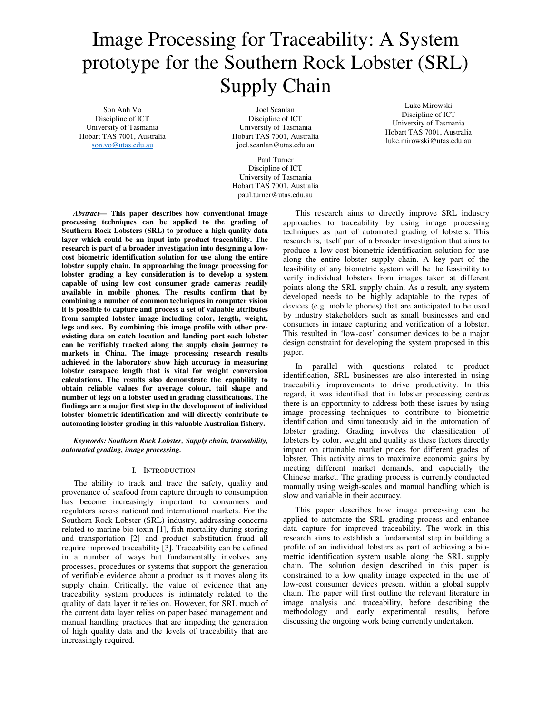# Image Processing for Traceability: A System prototype for the Southern Rock Lobster (SRL) Supply Chain

Son Anh Vo Discipline of ICT University of Tasmania Hobart TAS 7001, Australia son.vo@utas.edu.au

Joel Scanlan Discipline of ICT University of Tasmania Hobart TAS 7001, Australia joel.scanlan@utas.edu.au

Paul Turner Discipline of ICT University of Tasmania Hobart TAS 7001, Australia paul.turner@utas.edu.au

*Abstract***— This paper describes how conventional image processing techniques can be applied to the grading of Southern Rock Lobsters (SRL) to produce a high quality data layer which could be an input into product traceability. The research is part of a broader investigation into designing a lowcost biometric identification solution for use along the entire lobster supply chain. In approaching the image processing for lobster grading a key consideration is to develop a system capable of using low cost consumer grade cameras readily available in mobile phones. The results confirm that by combining a number of common techniques in computer vision it is possible to capture and process a set of valuable attributes from sampled lobster image including color, length, weight, legs and sex. By combining this image profile with other preexisting data on catch location and landing port each lobster can be verifiably tracked along the supply chain journey to markets in China. The image processing research results achieved in the laboratory show high accuracy in measuring lobster carapace length that is vital for weight conversion calculations. The results also demonstrate the capability to obtain reliable values for average colour, tail shape and number of legs on a lobster used in grading classifications. The findings are a major first step in the development of individual lobster biometric identification and will directly contribute to automating lobster grading in this valuable Australian fishery.**

*Keywords: Southern Rock Lobster, Supply chain, traceability, automated grading, image processing.* 

## I. INTRODUCTION

 The ability to track and trace the safety, quality and provenance of seafood from capture through to consumption has become increasingly important to consumers and regulators across national and international markets. For the Southern Rock Lobster (SRL) industry, addressing concerns related to marine bio-toxin [1], fish mortality during storing and transportation [2] and product substitution fraud all require improved traceability [3]. Traceability can be defined in a number of ways but fundamentally involves any processes, procedures or systems that support the generation of verifiable evidence about a product as it moves along its supply chain. Critically, the value of evidence that any traceability system produces is intimately related to the quality of data layer it relies on. However, for SRL much of the current data layer relies on paper based management and manual handling practices that are impeding the generation of high quality data and the levels of traceability that are increasingly required.

University of Tasmania Hobart TAS 7001, Australia luke.mirowski@utas.edu.au

Luke Mirowski Discipline of ICT

 This research aims to directly improve SRL industry approaches to traceability by using image processing techniques as part of automated grading of lobsters. This research is, itself part of a broader investigation that aims to produce a low-cost biometric identification solution for use along the entire lobster supply chain. A key part of the feasibility of any biometric system will be the feasibility to verify individual lobsters from images taken at different points along the SRL supply chain. As a result, any system developed needs to be highly adaptable to the types of devices (e.g. mobile phones) that are anticipated to be used by industry stakeholders such as small businesses and end consumers in image capturing and verification of a lobster. This resulted in 'low-cost' consumer devices to be a major design constraint for developing the system proposed in this paper.

 In parallel with questions related to product identification, SRL businesses are also interested in using traceability improvements to drive productivity. In this regard, it was identified that in lobster processing centres there is an opportunity to address both these issues by using image processing techniques to contribute to biometric identification and simultaneously aid in the automation of lobster grading. Grading involves the classification of lobsters by color, weight and quality as these factors directly impact on attainable market prices for different grades of lobster. This activity aims to maximize economic gains by meeting different market demands, and especially the Chinese market. The grading process is currently conducted manually using weigh-scales and manual handling which is slow and variable in their accuracy.

 This paper describes how image processing can be applied to automate the SRL grading process and enhance data capture for improved traceability. The work in this research aims to establish a fundamental step in building a profile of an individual lobsters as part of achieving a biometric identification system usable along the SRL supply chain. The solution design described in this paper is constrained to a low quality image expected in the use of low-cost consumer devices present within a global supply chain. The paper will first outline the relevant literature in image analysis and traceability, before describing the methodology and early experimental results, before discussing the ongoing work being currently undertaken.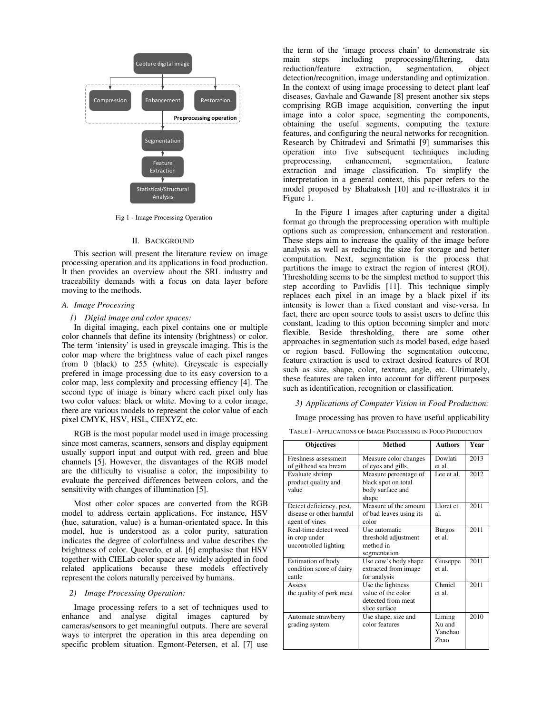

Fig 1 - Image Processing Operation

#### II. BACKGROUND

This section will present the literature review on image processing operation and its applications in food production. It then provides an overview about the SRL industry and traceability demands with a focus on data layer before moving to the methods.

## *A. Image Processing*

#### *1) Digial image and color spaces:*

In digital imaging, each pixel contains one or multiple color channels that define its intensity (brightness) or color. The term 'intensity' is used in greyscale imaging. This is the color map where the brightness value of each pixel ranges from 0 (black) to  $255$  (white). Greyscale is especially prefered in image processing due to its easy coversion to a color map, less complexity and processing effiency [4]. The second type of image is binary where each pixel only has two color values: black or white. Moving to a color image, there are various models to represent the color value of each pixel CMYK, HSV, HSL, CIEXYZ, etc.

RGB is the most popular model used in image processing since most cameras, scanners, sensors and display equipment usually support input and output with red, green and blue channels [5]. However, the disvantages of the RGB model are the difficulty to visualise a color, the imposibility to evaluate the perceived differences between colors, and the sensitivity with changes of illumination [5].

Most other color spaces are converted from the RGB model to address certain applications. For instance, HSV (hue, saturation, value) is a human-orientated space. In this model, hue is understood as a color purity, saturation indicates the degree of colorfulness and value describes the brightness of color. Quevedo, et al. [6] emphasise that HSV together with CIELab color space are widely adopted in food related applications because these models effectively represent the colors naturally perceived by humans.

## *2) Image Processing Operation:*

Image processing refers to a set of techniques used to enhance and analyse digital images captured by cameras/sensors to get meaningful outputs. There are several ways to interpret the operation in this area depending on specific problem situation. Egmont-Petersen, et al. [7] use

the term of the 'image process chain' to demonstrate six<br>main steps including preprocessing/filtering, data main steps including preprocessing/filtering, data reduction/feature extraction, segmentation, object detection/recognition, image understanding and optimization. In the context of using image processing to detect plant leaf diseases, Gavhale and Gawande [8] present another six steps comprising RGB image acquisition, converting the input image into a color space, segmenting the components, obtaining the useful segments, computing the texture features, and configuring the neural networks for recognition. Research by Chitradevi and Srimathi [9] summarises this operation into five subsequent techniques including preprocessing, enhancement, segmentation, feature extraction and image classification. To simplify the interpretation in a general context, this paper refers to the model proposed by Bhabatosh [10] and re-illustrates it in Figure 1.

In the Figure 1 images after capturing under a digital format go through the preprocessing operation with multiple options such as compression, enhancement and restoration. These steps aim to increase the quality of the image before analysis as well as reducing the size for storage and better computation. Next, segmentation is the process that partitions the image to extract the region of interest (ROI). Thresholding seems to be the simplest method to support this step according to Pavlidis [11]. This technique simply replaces each pixel in an image by a black pixel if its intensity is lower than a fixed constant and vise-versa. In fact, there are open source tools to assist users to define this constant, leading to this option becoming simpler and more flexible. Beside thresholding, there are some other approaches in segmentation such as model based, edge based or region based. Following the segmentation outcome, feature extraction is used to extract desired features of ROI such as size, shape, color, texture, angle, etc. Ultimately, these features are taken into account for different purposes such as identification, recognition or classification.

*3) Applications of Computer Vision in Food Production:* 

Image processing has proven to have useful applicability

TABLE I - APPLICATIONS OF IMAGE PROCESSING IN FOOD PRODUCTION

| <b>Objectives</b>        | <b>Method</b>           | <b>Authors</b>     | Year |
|--------------------------|-------------------------|--------------------|------|
| Freshness assessment     | Measure color changes   | Dowlati            | 2013 |
| of gilthead sea bream    | of eyes and gills,      | et al.             |      |
| Evaluate shrimp          | Measure percentage of   | Lee et al.         | 2012 |
| product quality and      | black spot on total     |                    |      |
| value                    | body surface and        |                    |      |
|                          | shape                   |                    |      |
| Detect deficiency, pest, | Measure of the amount   | Lloret et          | 2011 |
| disease or other harmful | of bad leaves using its | al                 |      |
| agent of vines           | color                   |                    |      |
| Real-time detect weed    | Use automatic           | <b>Burgos</b>      | 2011 |
| in crop under            | threshold adjustment    | et al.             |      |
| uncontrolled lighting    | method in               |                    |      |
|                          | segmentation            |                    |      |
| Estimation of body       | Use cow's body shape    | Giuseppe           | 2011 |
| condition score of dairy | extracted from image    | et al              |      |
| cattle                   | for analysis            |                    |      |
| Assess                   | Use the lightness       | Chmiel             | 2011 |
| the quality of pork meat | value of the color      | et al              |      |
|                          | detected from meat      |                    |      |
|                          | slice surface           |                    |      |
| Automate strawberry      | Use shape, size and     | Liming             | 2010 |
| grading system           | color features          | X <sub>u</sub> and |      |
|                          |                         | Yanchao            |      |
|                          |                         | Zhao               |      |
|                          |                         |                    |      |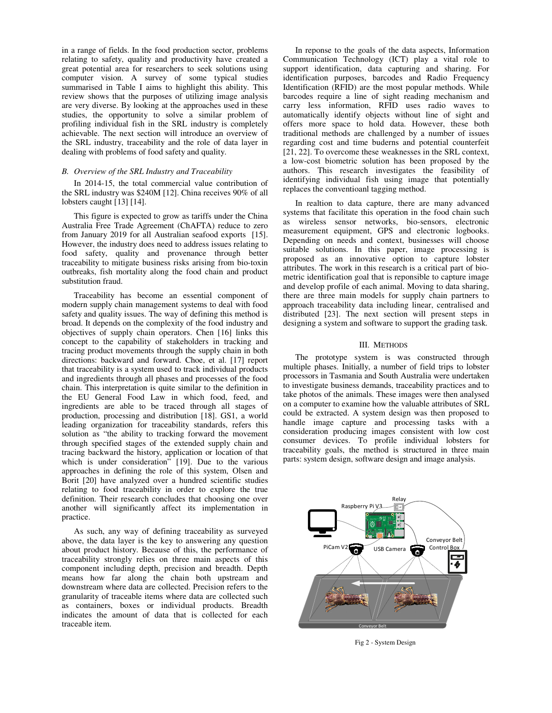in a range of fields. In the food production sector, problems relating to safety, quality and productivity have created a great potential area for researchers to seek solutions using computer vision. A survey of some typical studies summarised in Table I aims to highlight this ability. This review shows that the purposes of utilizing image analysis are very diverse. By looking at the approaches used in these studies, the opportunity to solve a similar problem of profiling individual fish in the SRL industry is completely achievable. The next section will introduce an overview of the SRL industry, traceability and the role of data layer in dealing with problems of food safety and quality.

#### *B. Overview of the SRL Industry and Traceability*

In 2014-15, the total commercial value contribution of the SRL industry was \$240M [12]. China receives 90% of all lobsters caught [13] [14].

This figure is expected to grow as tariffs under the China Australia Free Trade Agreement (ChAFTA) reduce to zero from January 2019 for all Australian seafood exports [15]. However, the industry does need to address issues relating to food safety, quality and provenance through better traceability to mitigate business risks arising from bio-toxin outbreaks, fish mortality along the food chain and product substitution fraud.

Traceability has become an essential component of modern supply chain management systems to deal with food safety and quality issues. The way of defining this method is broad. It depends on the complexity of the food industry and objectives of supply chain operators. Chen [16] links this concept to the capability of stakeholders in tracking and tracing product movements through the supply chain in both directions: backward and forward. Choe, et al. [17] report that traceability is a system used to track individual products and ingredients through all phases and processes of the food chain. This interpretation is quite similar to the definition in the EU General Food Law in which food, feed, and ingredients are able to be traced through all stages of production, processing and distribution [18]. GS1, a world leading organization for traceability standards, refers this solution as "the ability to tracking forward the movement through specified stages of the extended supply chain and tracing backward the history, application or location of that which is under consideration<sup>"</sup> [19]. Due to the various approaches in defining the role of this system, Olsen and Borit [20] have analyzed over a hundred scientific studies relating to food traceability in order to explore the true definition. Their research concludes that choosing one over another will significantly affect its implementation in practice.

As such, any way of defining traceability as surveyed above, the data layer is the key to answering any question about product history. Because of this, the performance of traceability strongly relies on three main aspects of this component including depth, precision and breadth. Depth means how far along the chain both upstream and downstream where data are collected. Precision refers to the granularity of traceable items where data are collected such as containers, boxes or individual products. Breadth indicates the amount of data that is collected for each traceable item.

In reponse to the goals of the data aspects, Information Communication Technology (ICT) play a vital role to support identification, data capturing and sharing. For identification purposes, barcodes and Radio Frequency Identification (RFID) are the most popular methods. While barcodes require a line of sight reading mechanism and carry less information, RFID uses radio waves to automatically identify objects without line of sight and offers more space to hold data. However, these both traditional methods are challenged by a number of issues regarding cost and time buderns and potential counterfeit [21, 22]. To overcome these weaknesses in the SRL context, a low-cost biometric solution has been proposed by the authors. This research investigates the feasibility of identifying individual fish using image that potentially replaces the conventioanl tagging method.

In realtion to data capture, there are many advanced systems that facilitate this operation in the food chain such as wireless sensor networks, bio-sensors, electronic measurement equipment, GPS and electronic logbooks. Depending on needs and context, businesses will choose suitable solutions. In this paper, image processing is proposed as an innovative option to capture lobster attributes. The work in this research is a critical part of biometric identification goal that is reponsible to capture image and develop profile of each animal. Moving to data sharing, there are three main models for supply chain partners to approach traceability data including linear, centralised and distributed [23]. The next section will present steps in designing a system and software to support the grading task.

#### III. METHODS

The prototype system is was constructed through multiple phases. Initially, a number of field trips to lobster processors in Tasmania and South Australia were undertaken to investigate business demands, traceability practices and to take photos of the animals. These images were then analysed on a computer to examine how the valuable attributes of SRL could be extracted. A system design was then proposed to handle image capture and processing tasks with a consideration producing images consistent with low cost consumer devices. To profile individual lobsters for traceability goals, the method is structured in three main parts: system design, software design and image analysis.



Fig 2 - System Design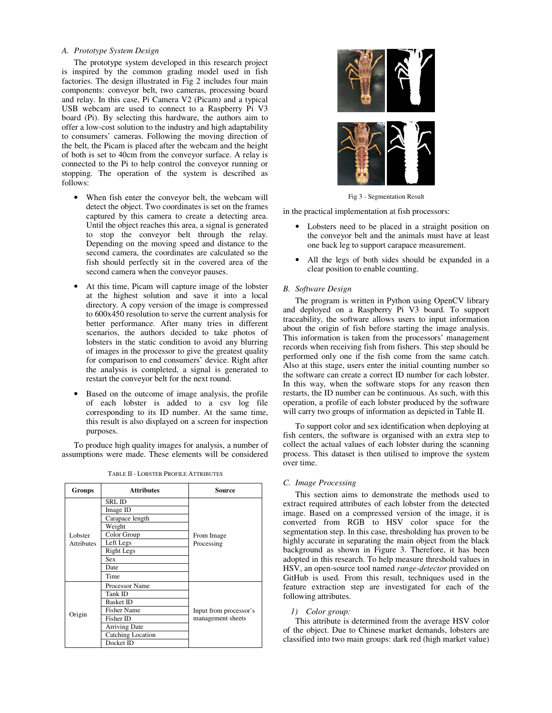## *A. Prototype System Design*

The prototype system developed in this research project is inspired by the common grading model used in fish factories. The design illustrated in Fig 2 includes four main components: conveyor belt, two cameras, processing board and relay. In this case, Pi Camera V2 (Picam) and a typical USB webcam are used to connect to a Raspberry Pi V3 board (Pi). By selecting this hardware, the authors aim to offer a low-cost solution to the industry and high adaptability to consumers' cameras. Following the moving direction of the belt, the Picam is placed after the webcam and the height of both is set to 40cm from the conveyor surface. A relay is connected to the Pi to help control the conveyor running or stopping. The operation of the system is described as follows:

- When fish enter the conveyor belt, the webcam will detect the object. Two coordinates is set on the frames captured by this camera to create a detecting area. Until the object reaches this area, a signal is generated to stop the conveyor belt through the relay. Depending on the moving speed and distance to the second camera, the coordinates are calculated so the fish should perfectly sit in the covered area of the second camera when the conveyor pauses.
- At this time, Picam will capture image of the lobster at the highest solution and save it into a local directory. A copy version of the image is compressed to 600x450 resolution to serve the current analysis for better performance. After many tries in different scenarios, the authors decided to take photos of lobsters in the static condition to avoid any blurring of images in the processor to give the greatest quality for comparison to end consumers' device. Right after the analysis is completed, a signal is generated to restart the conveyor belt for the next round.
- Based on the outcome of image analysis, the profile of each lobster is added to a csv log file corresponding to its ID number. At the same time, this result is also displayed on a screen for inspection purposes.

 To produce high quality images for analysis, a number of assumptions were made. These elements will be considered

| Groups                       | <b>Attributes</b>    | Source                   |  |  |  |
|------------------------------|----------------------|--------------------------|--|--|--|
| Lobster<br><b>Attributes</b> | <b>SRLID</b>         |                          |  |  |  |
|                              | Image ID             |                          |  |  |  |
|                              | Carapace length      | From Image<br>Processing |  |  |  |
|                              | Weight               |                          |  |  |  |
|                              | Color Group          |                          |  |  |  |
|                              | Left Legs            |                          |  |  |  |
|                              | Right Legs           |                          |  |  |  |
|                              | Sex                  |                          |  |  |  |
|                              | Date                 |                          |  |  |  |
|                              | Time                 |                          |  |  |  |
| Origin                       | Processor Name       |                          |  |  |  |
|                              | Tank ID              |                          |  |  |  |
|                              | <b>Basket ID</b>     |                          |  |  |  |
|                              | <b>Fisher Name</b>   | Input from processor's   |  |  |  |
|                              | Fisher ID            | management sheets        |  |  |  |
|                              | <b>Arriving Date</b> |                          |  |  |  |
|                              | Catching Location    |                          |  |  |  |
|                              | Docket ID            |                          |  |  |  |

TABLE II - LOBSTER PROFILE ATTRIBUTES



Fig 3 - Segmentation Result

in the practical implementation at fish processors:

- Lobsters need to be placed in a straight position on the conveyor belt and the animals must have at least one back leg to support carapace measurement.
- All the legs of both sides should be expanded in a clear position to enable counting.

# *B. Software Design*

The program is written in Python using OpenCV library and deployed on a Raspberry Pi V3 board. To support traceability, the software allows users to input information about the origin of fish before starting the image analysis. This information is taken from the processors' management records when receiving fish from fishers. This step should be performed only one if the fish come from the same catch. Also at this stage, users enter the initial counting number so the software can create a correct ID number for each lobster. In this way, when the software stops for any reason then restarts, the ID number can be continuous. As such, with this operation, a profile of each lobster produced by the software will carry two groups of information as depicted in Table II.

To support color and sex identification when deploying at fish centers, the software is organised with an extra step to collect the actual values of each lobster during the scanning process. This dataset is then utilised to improve the system over time.

## *C. Image Processing*

 This section aims to demonstrate the methods used to extract required attributes of each lobster from the detected image. Based on a compressed version of the image, it is converted from RGB to HSV color space for the segmentation step. In this case, thresholding has proven to be highly accurate in separating the main object from the black background as shown in Figure 3. Therefore, it has been adopted in this research. To help measure threshold values in HSV, an open-source tool named *range-detector* provided on GitHub is used. From this result, techniques used in the feature extraction step are investigated for each of the following attributes.

## *1) Color group:*

 This attribute is determined from the average HSV color of the object. Due to Chinese market demands, lobsters are classified into two main groups: dark red (high market value)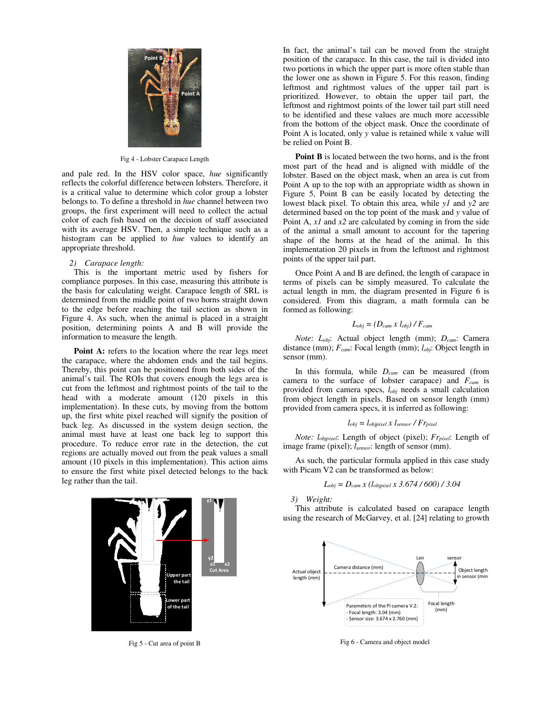

Fig 4 - Lobster Carapace Length

and pale red. In the HSV color space, *hue* significantly reflects the colorful difference between lobsters. Therefore, it is a critical value to determine which color group a lobster belongs to. To define a threshold in *hue* channel between two groups, the first experiment will need to collect the actual color of each fish based on the decision of staff associated with its average HSV. Then, a simple technique such as a histogram can be applied to *hue* values to identify an appropriate threshold.

#### *2) Carapace length:*

 This is the important metric used by fishers for compliance purposes. In this case, measuring this attribute is the basis for calculating weight. Carapace length of SRL is determined from the middle point of two horns straight down to the edge before reaching the tail section as shown in Figure 4. As such, when the animal is placed in a straight position, determining points A and B will provide the information to measure the length.

Point A: refers to the location where the rear legs meet the carapace, where the abdomen ends and the tail begins. Thereby, this point can be positioned from both sides of the animal's tail. The ROIs that covers enough the legs area is cut from the leftmost and rightmost points of the tail to the head with a moderate amount (120 pixels in this implementation). In these cuts, by moving from the bottom up, the first white pixel reached will signify the position of back leg. As discussed in the system design section, the animal must have at least one back leg to support this procedure. To reduce error rate in the detection, the cut regions are actually moved out from the peak values a small amount (10 pixels in this implementation). This action aims to ensure the first white pixel detected belongs to the back leg rather than the tail.



Fig 5 - Cut area of point B

In fact, the animal's tail can be moved from the straight position of the carapace. In this case, the tail is divided into two portions in which the upper part is more often stable than the lower one as shown in Figure 5. For this reason, finding leftmost and rightmost values of the upper tail part is prioritized. However, to obtain the upper tail part, the leftmost and rightmost points of the lower tail part still need to be identified and these values are much more accessible from the bottom of the object mask. Once the coordinate of Point A is located, only *y* value is retained while x value will be relied on Point B.

**Point B** is located between the two horns, and is the front most part of the head and is aligned with middle of the lobster. Based on the object mask, when an area is cut from Point A up to the top with an appropriate width as shown in Figure 5, Point B can be easily located by detecting the lowest black pixel. To obtain this area, while *y1* and *y2* are determined based on the top point of the mask and *y* value of Point A, *x1* and *x2* are calculated by coming in from the side of the animal a small amount to account for the tapering shape of the horns at the head of the animal. In this implementation 20 pixels in from the leftmost and rightmost points of the upper tail part.

Once Point A and B are defined, the length of carapace in terms of pixels can be simply measured. To calculate the actual length in mm, the diagram presented in Figure 6 is considered. From this diagram, a math formula can be formed as following:

$$
L_{obj} = (D_{cam} \times l_{obj}) / F_{cam}
$$

 *Note*: *Lobj*: Actual object length (mm); *Dcam*: Camera distance (mm); *Fcam*: Focal length (mm); *lobj*: Object length in sensor (mm).

In this formula, while *Dcam* can be measured (from camera to the surface of lobster carapace) and *Fcam* is provided from camera specs, *lobj* needs a small calculation from object length in pixels. Based on sensor length (mm) provided from camera specs, it is inferred as following:

$$
l_{obj} = l_{objpixel} \times l_{sensor} / Fr_{pixel}
$$

 *Note: lobjpixel*: Length of object (pixel); *Frpixel*: Length of image frame (pixel); *lsensor*: length of sensor (mm).

 As such, the particular formula applied in this case study with Picam V2 can be transformed as below:

$$
L_{obj} = D_{cam} x (l_{objpixel} x 3.674 / 600) / 3.04
$$

*3) Weight:* 

 This attribute is calculated based on carapace length using the research of McGarvey, et al. [24] relating to growth



Fig 6 - Camera and object model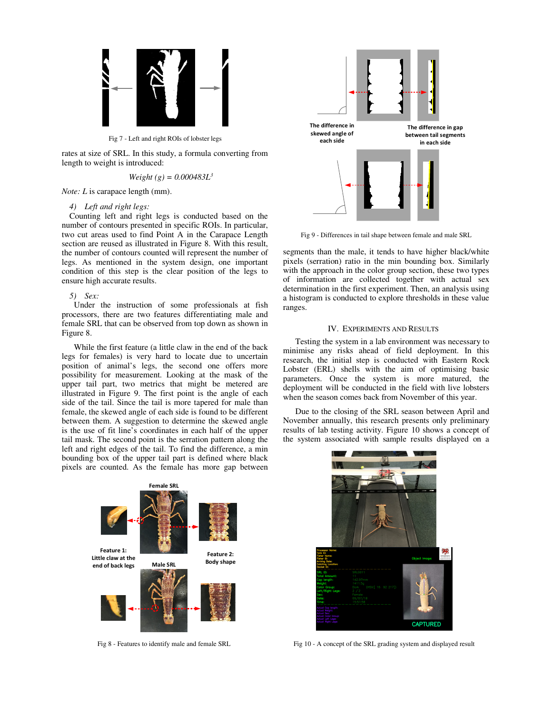

Fig 7 - Left and right ROIs of lobster legs

rates at size of SRL. In this study, a formula converting from length to weight is introduced:

*Weight* (g) = 
$$
0.000483L^3
$$

*Note: L* is carapace length (mm).

#### *4) Left and right legs:*

Counting left and right legs is conducted based on the number of contours presented in specific ROIs. In particular, two cut areas used to find Point A in the Carapace Length section are reused as illustrated in Figure 8. With this result, the number of contours counted will represent the number of legs. As mentioned in the system design, one important condition of this step is the clear position of the legs to ensure high accurate results.

## *5) Sex:*

 Under the instruction of some professionals at fish processors, there are two features differentiating male and female SRL that can be observed from top down as shown in Figure 8.

While the first feature (a little claw in the end of the back legs for females) is very hard to locate due to uncertain position of animal's legs, the second one offers more possibility for measurement. Looking at the mask of the upper tail part, two metrics that might be metered are illustrated in Figure 9. The first point is the angle of each side of the tail. Since the tail is more tapered for male than female, the skewed angle of each side is found to be different between them. A suggestion to determine the skewed angle is the use of fit line's coordinates in each half of the upper tail mask. The second point is the serration pattern along the left and right edges of the tail. To find the difference, a min bounding box of the upper tail part is defined where black pixels are counted. As the female has more gap between



Fig 8 - Features to identify male and female SRL



Fig 9 - Differences in tail shape between female and male SRL

segments than the male, it tends to have higher black/white pixels (serration) ratio in the min bounding box. Similarly with the approach in the color group section, these two types of information are collected together with actual sex determination in the first experiment. Then, an analysis using a histogram is conducted to explore thresholds in these value ranges.

## IV. EXPERIMENTS AND RESULTS

Testing the system in a lab environment was necessary to minimise any risks ahead of field deployment. In this research, the initial step is conducted with Eastern Rock Lobster (ERL) shells with the aim of optimising basic parameters. Once the system is more matured, the deployment will be conducted in the field with live lobsters when the season comes back from November of this year.

Due to the closing of the SRL season between April and November annually, this research presents only preliminary results of lab testing activity. Figure 10 shows a concept of the system associated with sample results displayed on a



Fig 10 - A concept of the SRL grading system and displayed result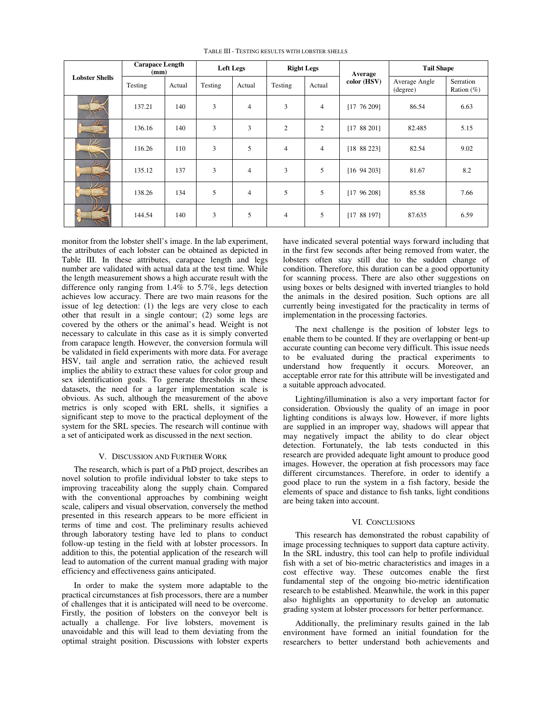| <b>Lobster Shells</b> | <b>Carapace Length</b><br>(mm) |        | <b>Left Legs</b> |                | <b>Right Legs</b> |                | Average         | <b>Tail Shape</b>         |                            |
|-----------------------|--------------------------------|--------|------------------|----------------|-------------------|----------------|-----------------|---------------------------|----------------------------|
|                       | Testing                        | Actual | Testing          | Actual         | Testing           | Actual         | color (HSV)     | Average Angle<br>(degree) | Serration<br>Ration $(\%)$ |
|                       | 137.21                         | 140    | 3                | 4              | 3                 | $\overline{4}$ | [17 76 209]     | 86.54                     | 6.63                       |
|                       | 136.16                         | 140    | 3                | 3              | $\overline{2}$    | $\overline{c}$ | [1788201]       | 82.485                    | 5.15                       |
| W                     | 116.26                         | 110    | 3                | 5              | $\overline{4}$    | $\overline{4}$ | [18 88 223]     | 82.54                     | 9.02                       |
|                       | 135.12                         | 137    | 3                | $\overline{4}$ | 3                 | 5              | $[16\ 94\ 203]$ | 81.67                     | 8.2                        |
|                       | 138.26                         | 134    | 5                | $\overline{4}$ | 5                 | 5              | [1796208]       | 85.58                     | 7.66                       |
| ᄉ                     | 144.54                         | 140    | 3                | 5              | $\overline{4}$    | 5              | [1788197]       | 87.635                    | 6.59                       |

TABLE III - TESTING RESULTS WITH LOBSTER SHELLS

monitor from the lobster shell's image. In the lab experiment, the attributes of each lobster can be obtained as depicted in Table III. In these attributes, carapace length and legs number are validated with actual data at the test time. While the length measurement shows a high accurate result with the difference only ranging from 1.4% to 5.7%, legs detection achieves low accuracy. There are two main reasons for the issue of leg detection: (1) the legs are very close to each other that result in a single contour; (2) some legs are covered by the others or the animal's head. Weight is not necessary to calculate in this case as it is simply converted from carapace length. However, the conversion formula will be validated in field experiments with more data. For average HSV, tail angle and serration ratio, the achieved result implies the ability to extract these values for color group and sex identification goals. To generate thresholds in these datasets, the need for a larger implementation scale is obvious. As such, although the measurement of the above metrics is only scoped with ERL shells, it signifies a significant step to move to the practical deployment of the system for the SRL species. The research will continue with a set of anticipated work as discussed in the next section.

#### V. DISCUSSION AND FURTHER WORK

The research, which is part of a PhD project, describes an novel solution to profile individual lobster to take steps to improving traceability along the supply chain. Compared with the conventional approaches by combining weight scale, calipers and visual observation, conversely the method presented in this research appears to be more efficient in terms of time and cost. The preliminary results achieved through laboratory testing have led to plans to conduct follow-up testing in the field with at lobster processors. In addition to this, the potential application of the research will lead to automation of the current manual grading with major efficiency and effectiveness gains anticipated.

In order to make the system more adaptable to the practical circumstances at fish processors, there are a number of challenges that it is anticipated will need to be overcome. Firstly, the position of lobsters on the conveyor belt is actually a challenge. For live lobsters, movement is unavoidable and this will lead to them deviating from the optimal straight position. Discussions with lobster experts have indicated several potential ways forward including that in the first few seconds after being removed from water, the lobsters often stay still due to the sudden change of condition. Therefore, this duration can be a good opportunity for scanning process. There are also other suggestions on using boxes or belts designed with inverted triangles to hold the animals in the desired position. Such options are all currently being investigated for the practicality in terms of implementation in the processing factories.

The next challenge is the position of lobster legs to enable them to be counted. If they are overlapping or bent-up accurate counting can become very difficult. This issue needs to be evaluated during the practical experiments to understand how frequently it occurs. Moreover, an acceptable error rate for this attribute will be investigated and a suitable approach advocated.

Lighting/illumination is also a very important factor for consideration. Obviously the quality of an image in poor lighting conditions is always low. However, if more lights are supplied in an improper way, shadows will appear that may negatively impact the ability to do clear object detection. Fortunately, the lab tests conducted in this research are provided adequate light amount to produce good images. However, the operation at fish processors may face different circumstances. Therefore, in order to identify a good place to run the system in a fish factory, beside the elements of space and distance to fish tanks, light conditions are being taken into account.

## VI. CONCLUSIONS

This research has demonstrated the robust capability of image processing techniques to support data capture activity. In the SRL industry, this tool can help to profile individual fish with a set of bio-metric characteristics and images in a cost effective way. These outcomes enable the first fundamental step of the ongoing bio-metric identification research to be established. Meanwhile, the work in this paper also highlights an opportunity to develop an automatic grading system at lobster processors for better performance.

Additionally, the preliminary results gained in the lab environment have formed an initial foundation for the researchers to better understand both achievements and